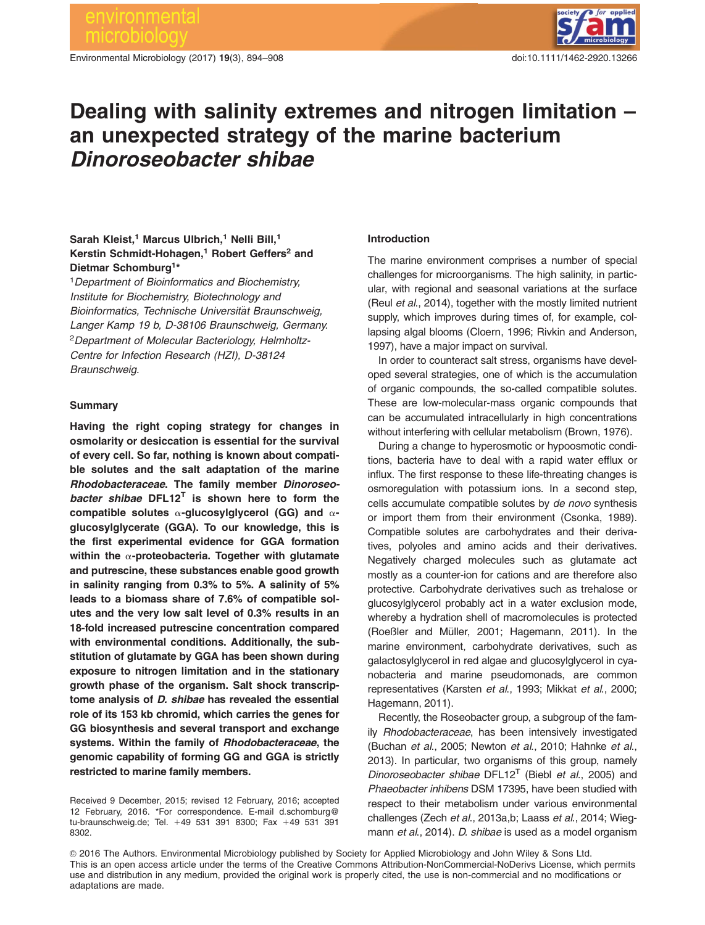# environmental crobiol

Environmental Microbiology (2017) 19(3), 894–908 doi:10.1111/1462-2920.13266



# Dealing with salinity extremes and nitrogen limitation – an unexpected strategy of the marine bacterium Dinoroseobacter shibae

## Sarah Kleist,<sup>1</sup> Marcus Ulbrich,<sup>1</sup> Nelli Bill,<sup>1</sup> Kerstin Schmidt-Hohagen.<sup>1</sup> Robert Geffers<sup>2</sup> and Dietmar Schomburg1\*

<sup>1</sup>Department of Bioinformatics and Biochemistry, Institute for Biochemistry, Biotechnology and Bioinformatics, Technische Universität Braunschweig, Langer Kamp 19 b, D-38106 Braunschweig, Germany. <sup>2</sup>Department of Molecular Bacteriology, Helmholtz-Centre for Infection Research (HZI), D-38124 Braunschweig.

#### Summary

Having the right coping strategy for changes in osmolarity or desiccation is essential for the survival of every cell. So far, nothing is known about compatible solutes and the salt adaptation of the marine Rhodobacteraceae. The family member Dinoroseobacter shibae  $DFL12^T$  is shown here to form the compatible solutes  $\alpha$ -glucosylglycerol (GG) and  $\alpha$ glucosylglycerate (GGA). To our knowledge, this is the first experimental evidence for GGA formation within the  $\alpha$ -proteobacteria. Together with glutamate and putrescine, these substances enable good growth in salinity ranging from 0.3% to 5%. A salinity of 5% leads to a biomass share of 7.6% of compatible solutes and the very low salt level of 0.3% results in an 18-fold increased putrescine concentration compared with environmental conditions. Additionally, the substitution of glutamate by GGA has been shown during exposure to nitrogen limitation and in the stationary growth phase of the organism. Salt shock transcriptome analysis of D. shibae has revealed the essential role of its 153 kb chromid, which carries the genes for GG biosynthesis and several transport and exchange systems. Within the family of Rhodobacteraceae, the genomic capability of forming GG and GGA is strictly restricted to marine family members.

#### Introduction

The marine environment comprises a number of special challenges for microorganisms. The high salinity, in particular, with regional and seasonal variations at the surface (Reul et al., 2014), together with the mostly limited nutrient supply, which improves during times of, for example, collapsing algal blooms (Cloern, 1996; Rivkin and Anderson, 1997), have a major impact on survival.

In order to counteract salt stress, organisms have developed several strategies, one of which is the accumulation of organic compounds, the so-called compatible solutes. These are low-molecular-mass organic compounds that can be accumulated intracellularly in high concentrations without interfering with cellular metabolism (Brown, 1976).

During a change to hyperosmotic or hypoosmotic conditions, bacteria have to deal with a rapid water efflux or influx. The first response to these life-threating changes is osmoregulation with potassium ions. In a second step, cells accumulate compatible solutes by de novo synthesis or import them from their environment (Csonka, 1989). Compatible solutes are carbohydrates and their derivatives, polyoles and amino acids and their derivatives. Negatively charged molecules such as glutamate act mostly as a counter-ion for cations and are therefore also protective. Carbohydrate derivatives such as trehalose or glucosylglycerol probably act in a water exclusion mode, whereby a hydration shell of macromolecules is protected (Roeßler and Müller, 2001; Hagemann, 2011). In the marine environment, carbohydrate derivatives, such as galactosylglycerol in red algae and glucosylglycerol in cyanobacteria and marine pseudomonads, are common representatives (Karsten et al., 1993; Mikkat et al., 2000; Hagemann, 2011).

Recently, the Roseobacter group, a subgroup of the family Rhodobacteraceae, has been intensively investigated (Buchan et al., 2005; Newton et al., 2010; Hahnke et al., 2013). In particular, two organisms of this group, namely Dinoroseobacter shibae DFL12<sup>T</sup> (Biebl et al., 2005) and Phaeobacter inhibens DSM 17395, have been studied with respect to their metabolism under various environmental challenges (Zech et al., 2013a,b; Laass et al., 2014; Wiegmann et al., 2014). D. shibae is used as a model organism

 $\degree$  2016 The Authors. Environmental Microbiology published by Society for Applied Microbiology and John Wiley & Sons Ltd. This is an open access article under the terms of the Creative Commons Attribution-NonCommercial-NoDerivs License, which permits use and distribution in any medium, provided the original work is properly cited, the use is non-commercial and no modifications or adaptations are made.

Received 9 December, 2015; revised 12 February, 2016; accepted 12 February, 2016. \*For correspondence. E-mail d.schomburg@ tu-braunschweig.de; Tel. +49 531 391 8300; Fax +49 531 391 8302.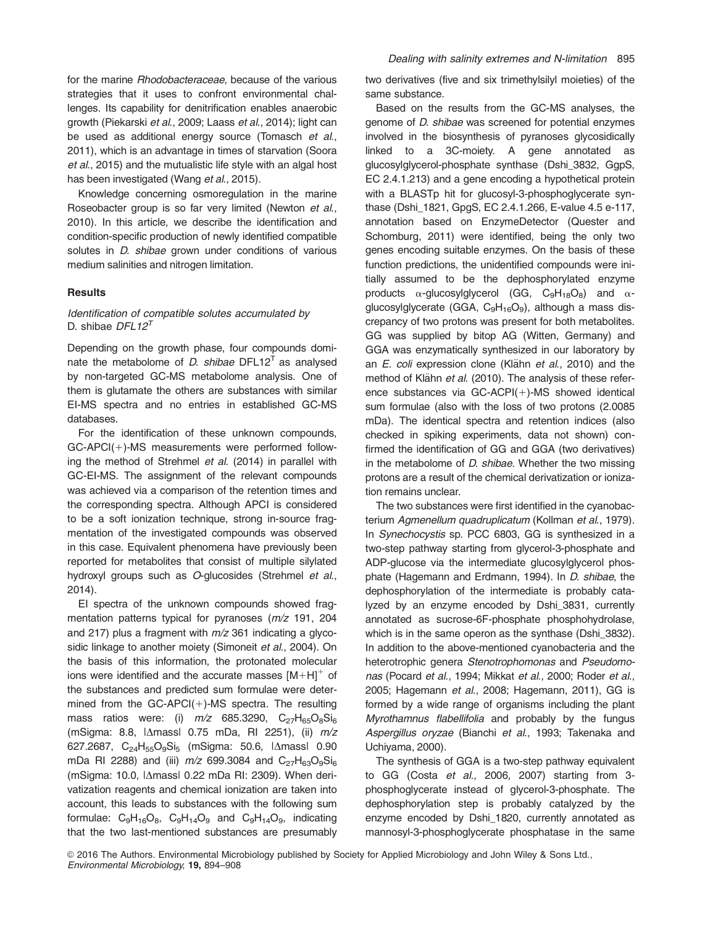for the marine Rhodobacteraceae, because of the various strategies that it uses to confront environmental challenges. Its capability for denitrification enables anaerobic growth (Piekarski et al., 2009; Laass et al., 2014); light can be used as additional energy source (Tomasch et al., 2011), which is an advantage in times of starvation (Soora et al., 2015) and the mutualistic life style with an algal host has been investigated (Wang et al., 2015).

Knowledge concerning osmoregulation in the marine Roseobacter group is so far very limited (Newton et al., 2010). In this article, we describe the identification and condition-specific production of newly identified compatible solutes in *D. shibae* grown under conditions of various medium salinities and nitrogen limitation.

#### **Results**

### Identification of compatible solutes accumulated by D. shibae  $DFL12^T$

Depending on the growth phase, four compounds dominate the metabolome of *D. shibae* DFL12<sup>T</sup> as analysed by non-targeted GC-MS metabolome analysis. One of them is glutamate the others are substances with similar EI-MS spectra and no entries in established GC-MS databases.

For the identification of these unknown compounds,  $GC-APCl(+)-MS$  measurements were performed following the method of Strehmel et al. (2014) in parallel with GC-EI-MS. The assignment of the relevant compounds was achieved via a comparison of the retention times and the corresponding spectra. Although APCI is considered to be a soft ionization technique, strong in-source fragmentation of the investigated compounds was observed in this case. Equivalent phenomena have previously been reported for metabolites that consist of multiple silylated hydroxyl groups such as O-glucosides (Strehmel et al., 2014).

EI spectra of the unknown compounds showed fragmentation patterns typical for pyranoses (m/z 191, 204 and 217) plus a fragment with  $m/z$  361 indicating a glycosidic linkage to another moiety (Simoneit et al., 2004). On the basis of this information, the protonated molecular ions were identified and the accurate masses  $[M+H]^{+}$  of the substances and predicted sum formulae were determined from the  $GC-APCl(+)$ -MS spectra. The resulting mass ratios were: (i)  $m/z$  685.3290,  $C_{27}H_{65}O_8Si_6$ (mSigma: 8.8,  $|\Delta$ massl 0.75 mDa, RI 2251), (ii)  $m/z$ 627.2687,  $C_{24}H_{55}O_9Si_5$  (mSigma: 50.6,  $|\Delta$ massl 0.90 mDa RI 2288) and (iii)  $m/z$  699.3084 and  $C_{27}H_{63}O_9Si_6$ (mSigma: 10.0, I∆massl 0.22 mDa RI: 2309). When derivatization reagents and chemical ionization are taken into account, this leads to substances with the following sum formulae:  $C_9H_{16}O_8$ ,  $C_9H_{14}O_9$  and  $C_9H_{14}O_9$ , indicating that the two last-mentioned substances are presumably

two derivatives (five and six trimethylsilyl moieties) of the same substance.

Based on the results from the GC-MS analyses, the genome of D. shibae was screened for potential enzymes involved in the biosynthesis of pyranoses glycosidically linked to a 3C-moiety. A gene annotated as glucosylglycerol-phosphate synthase (Dshi\_3832, GgpS, EC 2.4.1.213) and a gene encoding a hypothetical protein with a BLASTp hit for glucosyl-3-phosphoglycerate synthase (Dshi\_1821, GpgS, EC 2.4.1.266, E-value 4.5 e-117, annotation based on EnzymeDetector (Quester and Schomburg, 2011) were identified, being the only two genes encoding suitable enzymes. On the basis of these function predictions, the unidentified compounds were initially assumed to be the dephosphorylated enzyme products  $\alpha$ -glucosylglycerol (GG,  $C_9H_{18}O_8$ ) and  $\alpha$ glucosylglycerate (GGA,  $C_9H_{16}O_9$ ), although a mass discrepancy of two protons was present for both metabolites. GG was supplied by bitop AG (Witten, Germany) and GGA was enzymatically synthesized in our laboratory by an E. coli expression clone (Klähn et al., 2010) and the method of Klähn et al. (2010). The analysis of these reference substances via  $GC$ - $ACPI$ (+)-MS showed identical sum formulae (also with the loss of two protons (2.0085 mDa). The identical spectra and retention indices (also checked in spiking experiments, data not shown) confirmed the identification of GG and GGA (two derivatives) in the metabolome of  $D$ . shibae. Whether the two missing protons are a result of the chemical derivatization or ionization remains unclear.

The two substances were first identified in the cyanobacterium Agmenellum quadruplicatum (Kollman et al., 1979). In Synechocystis sp. PCC 6803, GG is synthesized in a two-step pathway starting from glycerol-3-phosphate and ADP-glucose via the intermediate glucosylglycerol phosphate (Hagemann and Erdmann, 1994). In D. shibae, the dephosphorylation of the intermediate is probably catalyzed by an enzyme encoded by Dshi\_3831, currently annotated as sucrose-6F-phosphate phosphohydrolase, which is in the same operon as the synthase (Dshi\_3832). In addition to the above-mentioned cyanobacteria and the heterotrophic genera Stenotrophomonas and Pseudomonas (Pocard et al., 1994; Mikkat et al., 2000; Roder et al., 2005; Hagemann et al., 2008; Hagemann, 2011), GG is formed by a wide range of organisms including the plant Myrothamnus flabellifolia and probably by the fungus Aspergillus oryzae (Bianchi et al., 1993; Takenaka and Uchiyama, 2000).

The synthesis of GGA is a two-step pathway equivalent to GG (Costa et al., 2006, 2007) starting from 3 phosphoglycerate instead of glycerol-3-phosphate. The dephosphorylation step is probably catalyzed by the enzyme encoded by Dshi\_1820, currently annotated as mannosyl-3-phosphoglycerate phosphatase in the same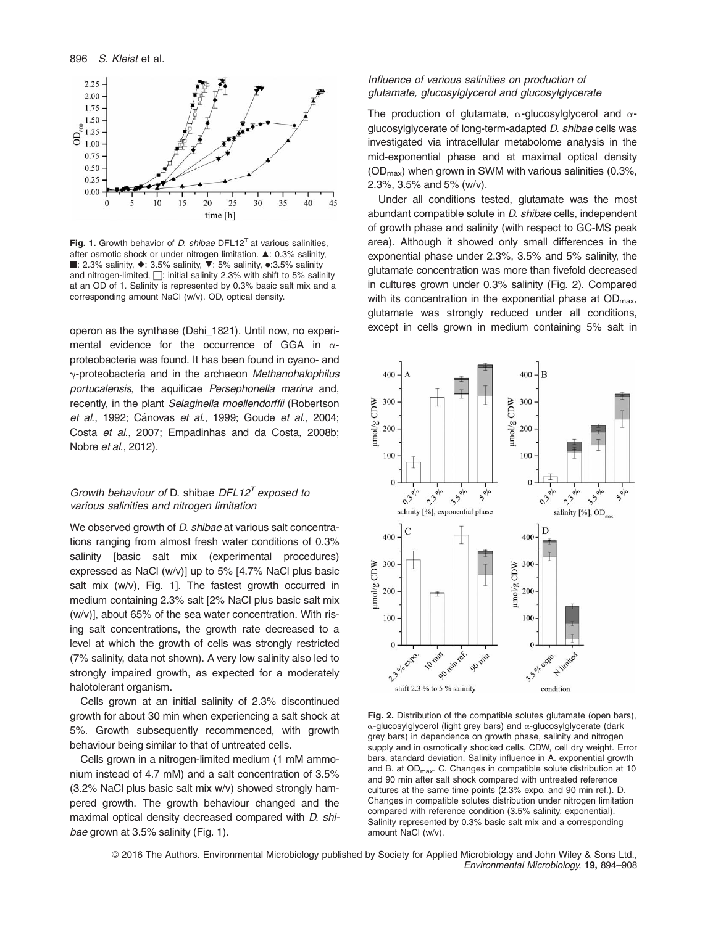

Fig. 1. Growth behavior of D. shibae DFL12<sup>T</sup> at various salinities, after osmotic shock or under nitrogen limitation. ▲: 0.3% salinity, ■: 2.3% salinity,  $\blacklozenge$ : 3.5% salinity,  $\nabla$ : 5% salinity,  $\blacklozenge$ :3.5% salinity and nitrogen-limited,  $\Box$ : initial salinity 2.3% with shift to 5% salinity at an OD of 1. Salinity is represented by 0.3% basic salt mix and a corresponding amount NaCl (w/v). OD, optical density.

operon as the synthase (Dshi\_1821). Until now, no experimental evidence for the occurrence of GGA in  $\alpha$ proteobacteria was found. It has been found in cyano- and y-proteobacteria and in the archaeon Methanohalophilus portucalensis, the aquificae Persephonella marina and, recently, in the plant Selaginella moellendorffii (Robertson et al., 1992; Cánovas et al., 1999; Goude et al., 2004; Costa et al., 2007; Empadinhas and da Costa, 2008b; Nobre et al., 2012).

#### Growth behaviour of D. shibae  $DFL12<sup>T</sup>$  exposed to various salinities and nitrogen limitation

We observed growth of *D. shibae* at various salt concentrations ranging from almost fresh water conditions of 0.3% salinity [basic salt mix (experimental procedures) expressed as NaCl (w/v)] up to 5% [4.7% NaCl plus basic salt mix (w/v), Fig. 1]. The fastest growth occurred in medium containing 2.3% salt [2% NaCl plus basic salt mix (w/v)], about 65% of the sea water concentration. With rising salt concentrations, the growth rate decreased to a level at which the growth of cells was strongly restricted (7% salinity, data not shown). A very low salinity also led to strongly impaired growth, as expected for a moderately halotolerant organism.

Cells grown at an initial salinity of 2.3% discontinued growth for about 30 min when experiencing a salt shock at 5%. Growth subsequently recommenced, with growth behaviour being similar to that of untreated cells.

Cells grown in a nitrogen-limited medium (1 mM ammonium instead of 4.7 mM) and a salt concentration of 3.5% (3.2% NaCl plus basic salt mix w/v) showed strongly hampered growth. The growth behaviour changed and the maximal optical density decreased compared with D. shibae grown at 3.5% salinity (Fig. 1).

#### Influence of various salinities on production of glutamate, glucosylglycerol and glucosylglycerate

The production of glutamate,  $\alpha$ -glucosylgiveerol and  $\alpha$ glucosylglycerate of long-term-adapted D. shibae cells was investigated via intracellular metabolome analysis in the mid-exponential phase and at maximal optical density  $(OD<sub>max</sub>)$  when grown in SWM with various salinities  $(0.3\%),$ 2.3%, 3.5% and 5% (w/v).

Under all conditions tested, glutamate was the most abundant compatible solute in D. shibae cells, independent of growth phase and salinity (with respect to GC-MS peak area). Although it showed only small differences in the exponential phase under 2.3%, 3.5% and 5% salinity, the glutamate concentration was more than fivefold decreased in cultures grown under 0.3% salinity (Fig. 2). Compared with its concentration in the exponential phase at  $OD_{\text{max}}$ , glutamate was strongly reduced under all conditions, except in cells grown in medium containing 5% salt in



Fig. 2. Distribution of the compatible solutes glutamate (open bars),  $\alpha$ -glucosylglycerol (light grey bars) and  $\alpha$ -glucosylglycerate (dark grey bars) in dependence on growth phase, salinity and nitrogen supply and in osmotically shocked cells. CDW, cell dry weight. Error bars, standard deviation. Salinity influence in A. exponential growth and B. at OD<sub>max</sub>. C. Changes in compatible solute distribution at 10 and 90 min after salt shock compared with untreated reference cultures at the same time points (2.3% expo. and 90 min ref.). D. Changes in compatible solutes distribution under nitrogen limitation compared with reference condition (3.5% salinity, exponential). Salinity represented by 0.3% basic salt mix and a corresponding amount NaCl (w/v).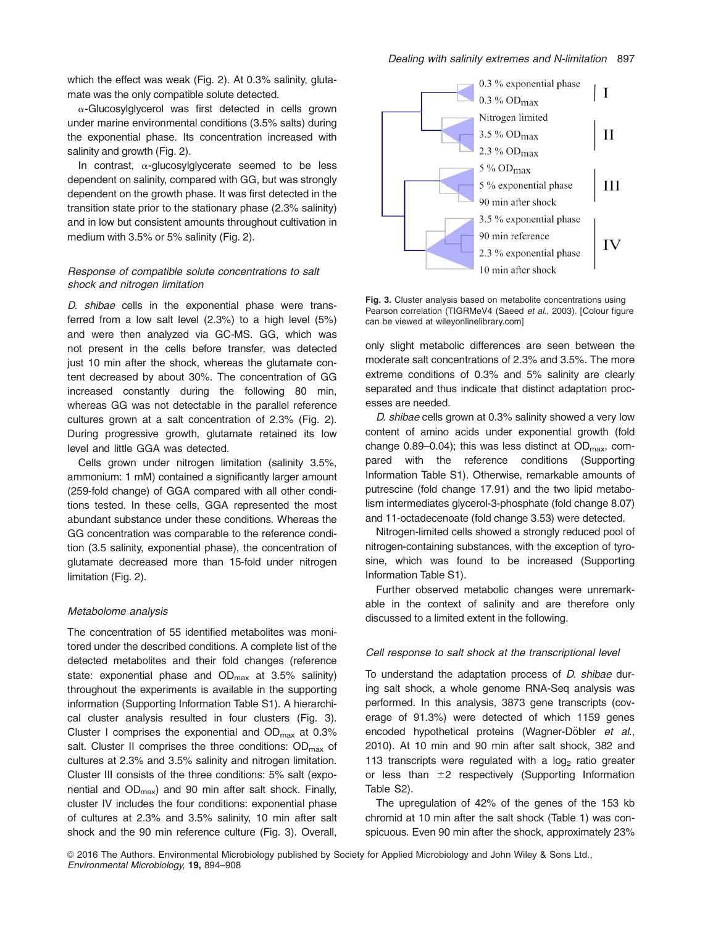which the effect was weak (Fig. 2). At 0.3% salinity, glutamate was the only compatible solute detected.

 $\alpha$ -Glucosylglycerol was first detected in cells grown under marine environmental conditions (3.5% salts) during the exponential phase. Its concentration increased with salinity and growth (Fig. 2).

In contrast,  $\alpha$ -glucosylglycerate seemed to be less dependent on salinity, compared with GG, but was strongly dependent on the growth phase. It was first detected in the transition state prior to the stationary phase (2.3% salinity) and in low but consistent amounts throughout cultivation in medium with 3.5% or 5% salinity (Fig. 2).

#### Response of compatible solute concentrations to salt shock and nitrogen limitation

D. shibae cells in the exponential phase were transferred from a low salt level (2.3%) to a high level (5%) and were then analyzed via GC-MS. GG, which was not present in the cells before transfer, was detected just 10 min after the shock, whereas the glutamate content decreased by about 30%. The concentration of GG increased constantly during the following 80 min, whereas GG was not detectable in the parallel reference cultures grown at a salt concentration of 2.3% (Fig. 2). During progressive growth, glutamate retained its low level and little GGA was detected.

Cells grown under nitrogen limitation (salinity 3.5%, ammonium: 1 mM) contained a significantly larger amount (259-fold change) of GGA compared with all other conditions tested. In these cells, GGA represented the most abundant substance under these conditions. Whereas the GG concentration was comparable to the reference condition (3.5 salinity, exponential phase), the concentration of glutamate decreased more than 15-fold under nitrogen limitation (Fig. 2).

#### Metabolome analysis

The concentration of 55 identified metabolites was monitored under the described conditions. A complete list of the detected metabolites and their fold changes (reference state: exponential phase and  $OD_{max}$  at 3.5% salinity) throughout the experiments is available in the supporting information (Supporting Information Table S1). A hierarchical cluster analysis resulted in four clusters (Fig. 3). Cluster I comprises the exponential and  $OD_{\text{max}}$  at 0.3% salt. Cluster II comprises the three conditions:  $OD_{\text{max}}$  of cultures at 2.3% and 3.5% salinity and nitrogen limitation. Cluster III consists of the three conditions: 5% salt (exponential and  $OD_{\text{max}}$ ) and 90 min after salt shock. Finally, cluster IV includes the four conditions: exponential phase of cultures at 2.3% and 3.5% salinity, 10 min after salt shock and the 90 min reference culture (Fig. 3). Overall,



Fig. 3. Cluster analysis based on metabolite concentrations using Pearson correlation (TIGRMeV4 (Saeed et al., 2003). [Colour figure can be viewed at wileyonlinelibrary.com]

only slight metabolic differences are seen between the moderate salt concentrations of 2.3% and 3.5%. The more extreme conditions of 0.3% and 5% salinity are clearly separated and thus indicate that distinct adaptation processes are needed.

D. shibae cells grown at 0.3% salinity showed a very low content of amino acids under exponential growth (fold change 0.89–0.04); this was less distinct at  $OD_{\text{max}}$ , compared with the reference conditions (Supporting Information Table S1). Otherwise, remarkable amounts of putrescine (fold change 17.91) and the two lipid metabolism intermediates glycerol-3-phosphate (fold change 8.07) and 11-octadecenoate (fold change 3.53) were detected.

Nitrogen-limited cells showed a strongly reduced pool of nitrogen-containing substances, with the exception of tyrosine, which was found to be increased (Supporting Information Table S1).

Further observed metabolic changes were unremarkable in the context of salinity and are therefore only discussed to a limited extent in the following.

#### Cell response to salt shock at the transcriptional level

To understand the adaptation process of D. shibae during salt shock, a whole genome RNA-Seq analysis was performed. In this analysis, 3873 gene transcripts (coverage of 91.3%) were detected of which 1159 genes encoded hypothetical proteins (Wagner-Döbler et al., 2010). At 10 min and 90 min after salt shock, 382 and 113 transcripts were regulated with a  $log<sub>2</sub>$  ratio greater or less than  $\pm 2$  respectively (Supporting Information Table S2).

The upregulation of 42% of the genes of the 153 kb chromid at 10 min after the salt shock (Table 1) was conspicuous. Even 90 min after the shock, approximately 23%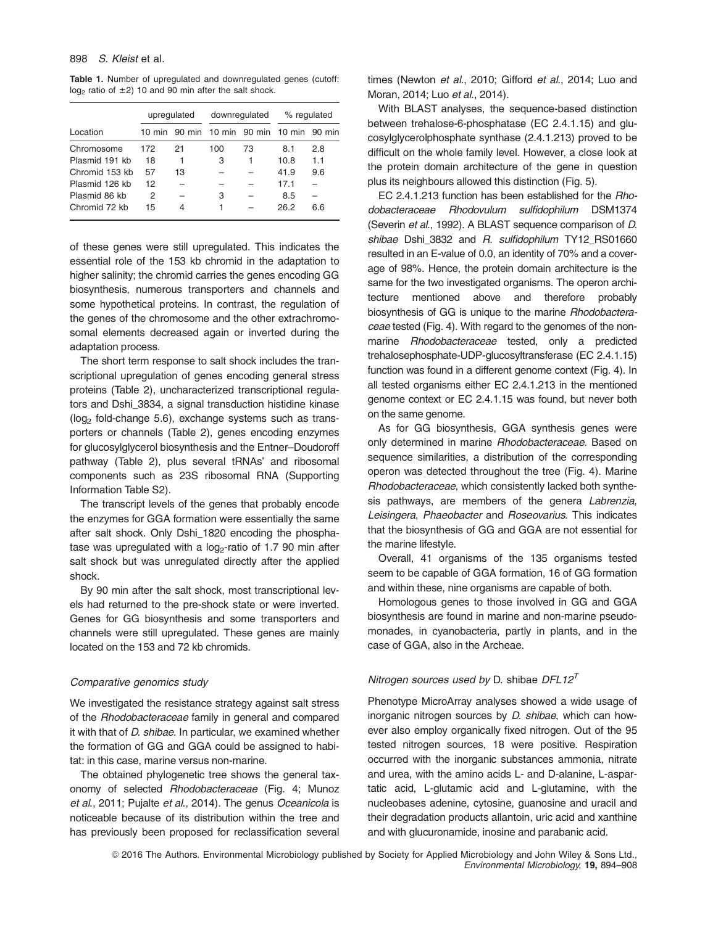Table 1. Number of upregulated and downregulated genes (cutoff:  $log<sub>2</sub>$  ratio of  $\pm 2$ ) 10 and 90 min after the salt shock.

|                | upregulated      |    | downregulated |                                    | % regulated |     |
|----------------|------------------|----|---------------|------------------------------------|-------------|-----|
| Location       | $10 \text{ min}$ |    |               | 90 min 10 min 90 min 10 min 90 min |             |     |
| Chromosome     | 172              | 21 | 100           | 73                                 | 8.1         | 2.8 |
| Plasmid 191 kb | 18               | 1  | З             | 1                                  | 10.8        | 1.1 |
| Chromid 153 kb | 57               | 13 |               |                                    | 41.9        | 9.6 |
| Plasmid 126 kb | 12               |    |               |                                    | 17.1        |     |
| Plasmid 86 kb  | 2                |    | 3             |                                    | 8.5         |     |
| Chromid 72 kb  | 15               |    | 1             |                                    | 26.2        | 6.6 |

of these genes were still upregulated. This indicates the essential role of the 153 kb chromid in the adaptation to higher salinity; the chromid carries the genes encoding GG biosynthesis, numerous transporters and channels and some hypothetical proteins. In contrast, the regulation of the genes of the chromosome and the other extrachromosomal elements decreased again or inverted during the adaptation process.

The short term response to salt shock includes the transcriptional upregulation of genes encoding general stress proteins (Table 2), uncharacterized transcriptional regulators and Dshi 3834, a signal transduction histidine kinase  $(log<sub>2</sub>$  fold-change 5.6), exchange systems such as transporters or channels (Table 2), genes encoding enzymes for glucosylglycerol biosynthesis and the Entner–Doudoroff pathway (Table 2), plus several tRNAs' and ribosomal components such as 23S ribosomal RNA (Supporting Information Table S2).

The transcript levels of the genes that probably encode the enzymes for GGA formation were essentially the same after salt shock. Only Dshi\_1820 encoding the phosphatase was upregulated with a  $log<sub>2</sub>$ -ratio of 1.7 90 min after salt shock but was unregulated directly after the applied shock.

By 90 min after the salt shock, most transcriptional levels had returned to the pre-shock state or were inverted. Genes for GG biosynthesis and some transporters and channels were still upregulated. These genes are mainly located on the 153 and 72 kb chromids.

#### Comparative genomics study

We investigated the resistance strategy against salt stress of the Rhodobacteraceae family in general and compared it with that of D. shibae. In particular, we examined whether the formation of GG and GGA could be assigned to habitat: in this case, marine versus non-marine.

The obtained phylogenetic tree shows the general taxonomy of selected Rhodobacteraceae (Fig. 4; Munoz et al., 2011; Pujalte et al., 2014). The genus Oceanicola is noticeable because of its distribution within the tree and has previously been proposed for reclassification several times (Newton et al., 2010; Gifford et al., 2014; Luo and Moran, 2014; Luo et al., 2014).

With BLAST analyses, the sequence-based distinction between trehalose-6-phosphatase (EC 2.4.1.15) and glucosylglycerolphosphate synthase (2.4.1.213) proved to be difficult on the whole family level. However, a close look at the protein domain architecture of the gene in question plus its neighbours allowed this distinction (Fig. 5).

EC 2.4.1.213 function has been established for the Rhodobacteraceae Rhodovulum sulfidophilum DSM1374 (Severin et al., 1992). A BLAST sequence comparison of D. shibae Dshi 3832 and R. sulfidophilum TY12 RS01660 resulted in an E-value of 0.0, an identity of 70% and a coverage of 98%. Hence, the protein domain architecture is the same for the two investigated organisms. The operon architecture mentioned above and therefore probably biosynthesis of GG is unique to the marine Rhodobacteraceae tested (Fig. 4). With regard to the genomes of the nonmarine Rhodobacteraceae tested, only a predicted trehalosephosphate-UDP-glucosyltransferase (EC 2.4.1.15) function was found in a different genome context (Fig. 4). In all tested organisms either EC 2.4.1.213 in the mentioned genome context or EC 2.4.1.15 was found, but never both on the same genome.

As for GG biosynthesis, GGA synthesis genes were only determined in marine Rhodobacteraceae. Based on sequence similarities, a distribution of the corresponding operon was detected throughout the tree (Fig. 4). Marine Rhodobacteraceae, which consistently lacked both synthesis pathways, are members of the genera Labrenzia, Leisingera, Phaeobacter and Roseovarius. This indicates that the biosynthesis of GG and GGA are not essential for the marine lifestyle.

Overall, 41 organisms of the 135 organisms tested seem to be capable of GGA formation, 16 of GG formation and within these, nine organisms are capable of both.

Homologous genes to those involved in GG and GGA biosynthesis are found in marine and non-marine pseudomonades, in cyanobacteria, partly in plants, and in the case of GGA, also in the Archeae.

# Nitrogen sources used by D. shibae DFL12 $^T$

Phenotype MicroArray analyses showed a wide usage of inorganic nitrogen sources by D. shibae, which can however also employ organically fixed nitrogen. Out of the 95 tested nitrogen sources, 18 were positive. Respiration occurred with the inorganic substances ammonia, nitrate and urea, with the amino acids L- and D-alanine, L-aspartatic acid, L-glutamic acid and L-glutamine, with the nucleobases adenine, cytosine, guanosine and uracil and their degradation products allantoin, uric acid and xanthine and with glucuronamide, inosine and parabanic acid.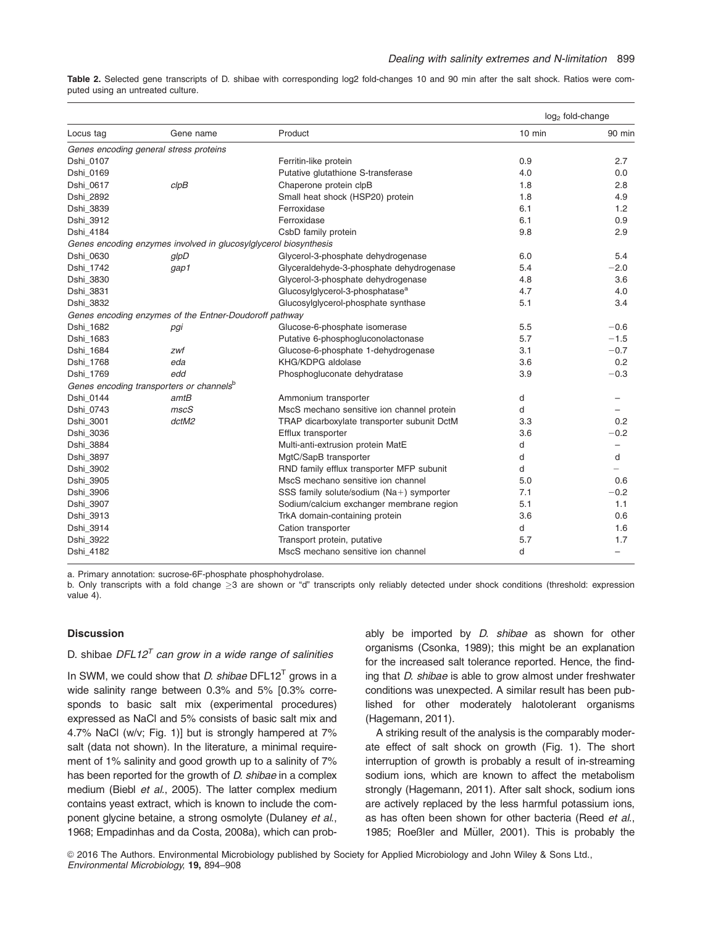Table 2. Selected gene transcripts of D. shibae with corresponding log2 fold-changes 10 and 90 min after the salt shock. Ratios were computed using an untreated culture.

|           |                                                                  |                                             | log <sub>2</sub> fold-change |                          |
|-----------|------------------------------------------------------------------|---------------------------------------------|------------------------------|--------------------------|
| Locus tag | Gene name                                                        | Product                                     | $10$ min                     | 90 min                   |
|           | Genes encoding general stress proteins                           |                                             |                              |                          |
| Dshi 0107 |                                                                  | Ferritin-like protein                       | 0.9                          | 2.7                      |
| Dshi 0169 |                                                                  | Putative glutathione S-transferase          | 4.0                          | 0.0                      |
| Dshi_0617 | clpB                                                             | Chaperone protein clpB                      | 1.8                          | 2.8                      |
| Dshi_2892 |                                                                  | Small heat shock (HSP20) protein            | 1.8                          | 4.9                      |
| Dshi_3839 |                                                                  | Ferroxidase                                 | 6.1                          | 1.2                      |
| Dshi_3912 |                                                                  | Ferroxidase                                 | 6.1                          | 0.9                      |
| Dshi_4184 |                                                                  | CsbD family protein                         | 9.8                          | 2.9                      |
|           | Genes encoding enzymes involved in glucosylglycerol biosynthesis |                                             |                              |                          |
| Dshi 0630 | glpD                                                             | Glycerol-3-phosphate dehydrogenase          | 6.0                          | 5.4                      |
| Dshi_1742 | gap1                                                             | Glyceraldehyde-3-phosphate dehydrogenase    | 5.4                          | $-2.0$                   |
| Dshi 3830 |                                                                  | Glycerol-3-phosphate dehydrogenase          | 4.8                          | 3.6                      |
| Dshi_3831 |                                                                  | Glucosylglycerol-3-phosphatase <sup>a</sup> | 4.7                          | 4.0                      |
| Dshi_3832 |                                                                  | Glucosylglycerol-phosphate synthase         | 5.1                          | 3.4                      |
|           | Genes encoding enzymes of the Entner-Doudoroff pathway           |                                             |                              |                          |
| Dshi_1682 | pgi                                                              | Glucose-6-phosphate isomerase               | 5.5                          | $-0.6$                   |
| Dshi_1683 |                                                                  | Putative 6-phosphogluconolactonase          | 5.7                          | $-1.5$                   |
| Dshi_1684 | zwf                                                              | Glucose-6-phosphate 1-dehydrogenase         | 3.1                          | $-0.7$                   |
| Dshi_1768 | eda                                                              | KHG/KDPG aldolase                           | 3.6                          | 0.2                      |
| Dshi_1769 | edd                                                              | Phosphogluconate dehydratase                | 3.9                          | $-0.3$                   |
|           | Genes encoding transporters or channels <sup>b</sup>             |                                             |                              |                          |
| Dshi 0144 | amtB                                                             | Ammonium transporter                        | d                            |                          |
| Dshi_0743 | mscS                                                             | MscS mechano sensitive ion channel protein  | d                            |                          |
| Dshi_3001 | dctM2                                                            | TRAP dicarboxylate transporter subunit DctM | 3.3                          | 0.2                      |
| Dshi_3036 |                                                                  | Efflux transporter                          | 3.6                          | $-0.2$                   |
| Dshi_3884 |                                                                  | Multi-anti-extrusion protein MatE           | d                            | $\overline{\phantom{m}}$ |
| Dshi_3897 |                                                                  | MgtC/SapB transporter                       | d                            | d                        |
| Dshi_3902 |                                                                  | RND family efflux transporter MFP subunit   | d                            |                          |
| Dshi_3905 |                                                                  | MscS mechano sensitive ion channel          | 5.0                          | 0.6                      |
| Dshi_3906 |                                                                  | SSS family solute/sodium (Na+) symporter    | 7.1                          | $-0.2$                   |
| Dshi_3907 |                                                                  | Sodium/calcium exchanger membrane region    | 5.1                          | 1.1                      |
| Dshi_3913 |                                                                  | TrkA domain-containing protein              | 3.6                          | 0.6                      |
| Dshi_3914 |                                                                  | Cation transporter                          | d                            | 1.6                      |
| Dshi_3922 |                                                                  | Transport protein, putative                 | 5.7                          | 1.7                      |
| Dshi_4182 |                                                                  | MscS mechano sensitive ion channel          | d                            |                          |

a. Primary annotation: sucrose-6F-phosphate phosphohydrolase.

b. Only transcripts with a fold change  $\geq$ 3 are shown or "d" transcripts only reliably detected under shock conditions (threshold: expression value 4).

#### Discussion

#### D. shibae  $DFL12<sup>T</sup>$  can grow in a wide range of salinities

In SWM, we could show that *D. shibae* DFL12<sup>T</sup> grows in a wide salinity range between 0.3% and 5% [0.3% corresponds to basic salt mix (experimental procedures) expressed as NaCl and 5% consists of basic salt mix and 4.7% NaCl (w/v; Fig. 1)] but is strongly hampered at 7% salt (data not shown). In the literature, a minimal requirement of 1% salinity and good growth up to a salinity of 7% has been reported for the growth of D. shibae in a complex medium (Biebl et al., 2005). The latter complex medium contains yeast extract, which is known to include the component glycine betaine, a strong osmolyte (Dulaney et al., 1968; Empadinhas and da Costa, 2008a), which can probably be imported by *D. shibae* as shown for other organisms (Csonka, 1989); this might be an explanation for the increased salt tolerance reported. Hence, the finding that D. shibae is able to grow almost under freshwater conditions was unexpected. A similar result has been published for other moderately halotolerant organisms (Hagemann, 2011).

A striking result of the analysis is the comparably moderate effect of salt shock on growth (Fig. 1). The short interruption of growth is probably a result of in-streaming sodium ions, which are known to affect the metabolism strongly (Hagemann, 2011). After salt shock, sodium ions are actively replaced by the less harmful potassium ions, as has often been shown for other bacteria (Reed et al., 1985; Roeßler and Müller, 2001). This is probably the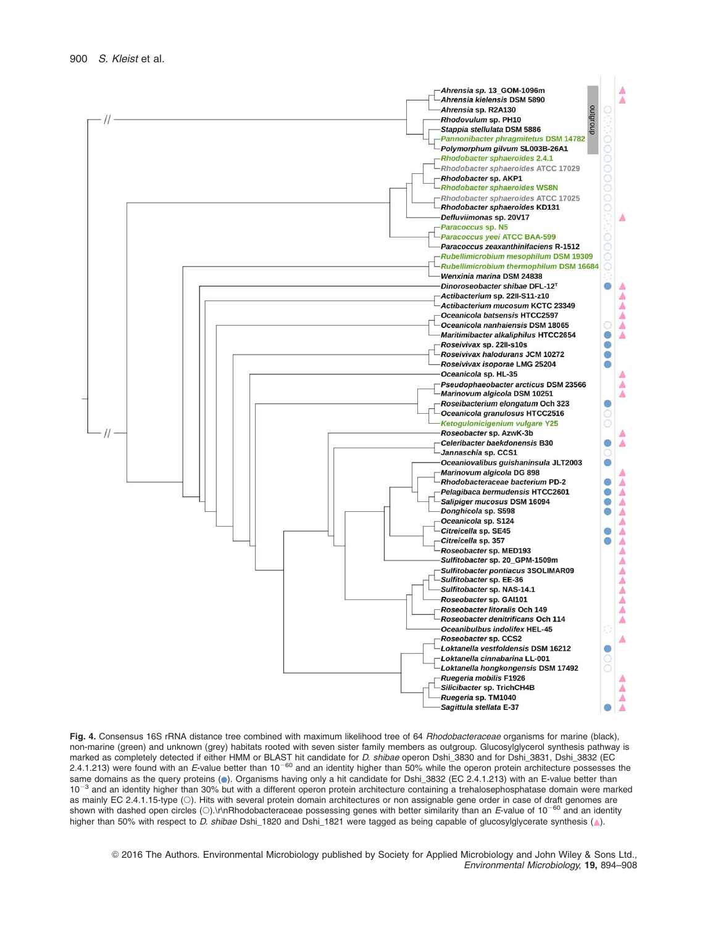

Fig. 4. Consensus 16S rRNA distance tree combined with maximum likelihood tree of 64 Rhodobacteraceae organisms for marine (black), non-marine (green) and unknown (grey) habitats rooted with seven sister family members as outgroup. Glucosylglycerol synthesis pathway is marked as completely detected if either HMM or BLAST hit candidate for *D. shibae* operon Dshi\_3830 and for Dshi\_3831, Dshi\_3832 (EC<br>2.4.1.213) were found with an *E*-value better than 10<sup>–60</sup> and an identity higher than 5 same domains as the query proteins (.). Organisms having only a hit candidate for Dshi\_3832 (EC 2.4.1.213) with an E-value better than  $10^{-3}$  and an identity higher than 30% but with a different operon protein architecture containing a trehalosephosphatase domain were marked as mainly EC 2.4.1.15-type (). Hits with several protein domain architectures or non assignable gene order in case of draft genomes are shown with dashed open circles (O).\r\nRhodobacteraceae possessing genes with better similarity than an E-value of 10<sup>-60</sup> and an identity higher than 50% with respect to D. shibae Dshi\_1820 and Dshi\_1821 were tagged as being capable of glucosylglycerate synthesis (A).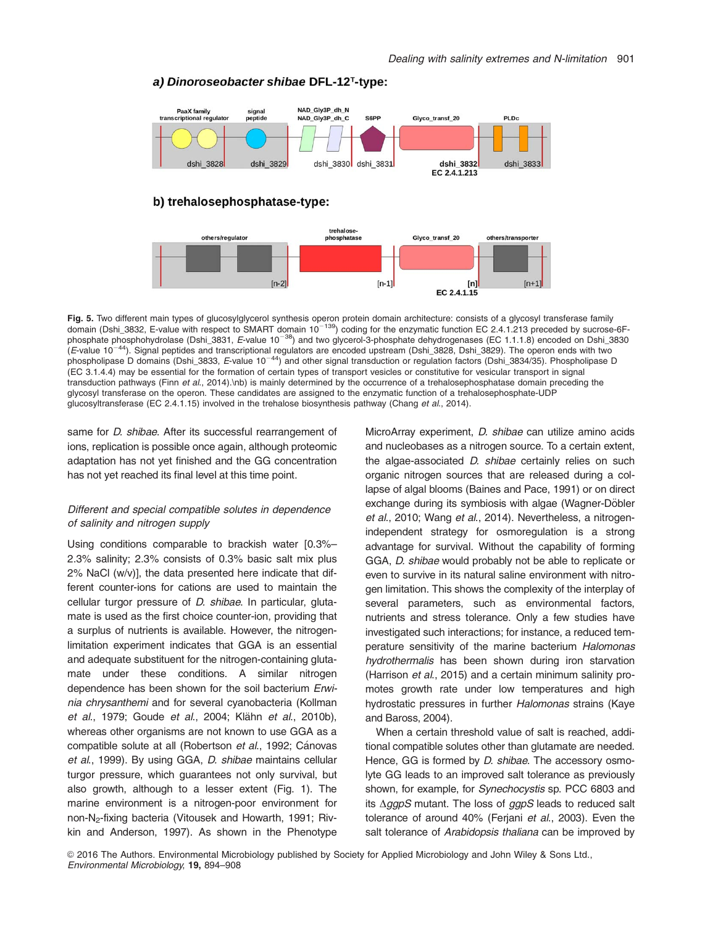[n]

EC 2.4.1.15

 $In+$ 

#### PaaX family signal<br>peptide NAD Gly3P dh N **rado lating**<br>transcriptional regulato NAD\_Gly3P\_dh\_C S6PP Glyco transf 20 PLD<sub>C</sub> dshi 3828 dshi 3830 dshi 3831 dshi 3832 dshi 3829  $dshi$  3833 EC 2.4.1.213 b) trehalosephosphatase-type: trabalgee phosphatase others/regulator Glyco transf 20 others/transporte

#### a) Dinoroseobacter shibae DFL-12<sup>T</sup>-type:

 $[n-2]$ 



 $[n-1]$ 

same for *D. shibae*. After its successful rearrangement of ions, replication is possible once again, although proteomic adaptation has not yet finished and the GG concentration has not yet reached its final level at this time point.

#### Different and special compatible solutes in dependence of salinity and nitrogen supply

Using conditions comparable to brackish water [0.3%– 2.3% salinity; 2.3% consists of 0.3% basic salt mix plus 2% NaCl (w/v)], the data presented here indicate that different counter-ions for cations are used to maintain the cellular turgor pressure of D. shibae. In particular, glutamate is used as the first choice counter-ion, providing that a surplus of nutrients is available. However, the nitrogenlimitation experiment indicates that GGA is an essential and adequate substituent for the nitrogen-containing glutamate under these conditions. A similar nitrogen dependence has been shown for the soil bacterium Erwinia chrysanthemi and for several cyanobacteria (Kollman et al., 1979; Goude et al., 2004; Klähn et al., 2010b), whereas other organisms are not known to use GGA as a compatible solute at all (Robertson et al., 1992; Cánovas et al., 1999). By using GGA, D. shibae maintains cellular turgor pressure, which guarantees not only survival, but also growth, although to a lesser extent (Fig. 1). The marine environment is a nitrogen-poor environment for non-N2-fixing bacteria (Vitousek and Howarth, 1991; Rivkin and Anderson, 1997). As shown in the Phenotype

MicroArray experiment, D. shibae can utilize amino acids and nucleobases as a nitrogen source. To a certain extent, the algae-associated *D. shibae* certainly relies on such organic nitrogen sources that are released during a collapse of algal blooms (Baines and Pace, 1991) or on direct exchange during its symbiosis with algae (Wagner-Döbler et al., 2010; Wang et al., 2014). Nevertheless, a nitrogenindependent strategy for osmoregulation is a strong advantage for survival. Without the capability of forming GGA, D. shibae would probably not be able to replicate or even to survive in its natural saline environment with nitrogen limitation. This shows the complexity of the interplay of several parameters, such as environmental factors, nutrients and stress tolerance. Only a few studies have investigated such interactions; for instance, a reduced temperature sensitivity of the marine bacterium Halomonas hydrothermalis has been shown during iron starvation (Harrison et al., 2015) and a certain minimum salinity promotes growth rate under low temperatures and high hydrostatic pressures in further Halomonas strains (Kaye and Baross, 2004).

When a certain threshold value of salt is reached, additional compatible solutes other than glutamate are needed. Hence, GG is formed by *D. shibae*. The accessory osmolyte GG leads to an improved salt tolerance as previously shown, for example, for Synechocystis sp. PCC 6803 and its  $\triangle ggpS$  mutant. The loss of  $ggpS$  leads to reduced salt tolerance of around 40% (Ferjani et al., 2003). Even the salt tolerance of Arabidopsis thaliana can be improved by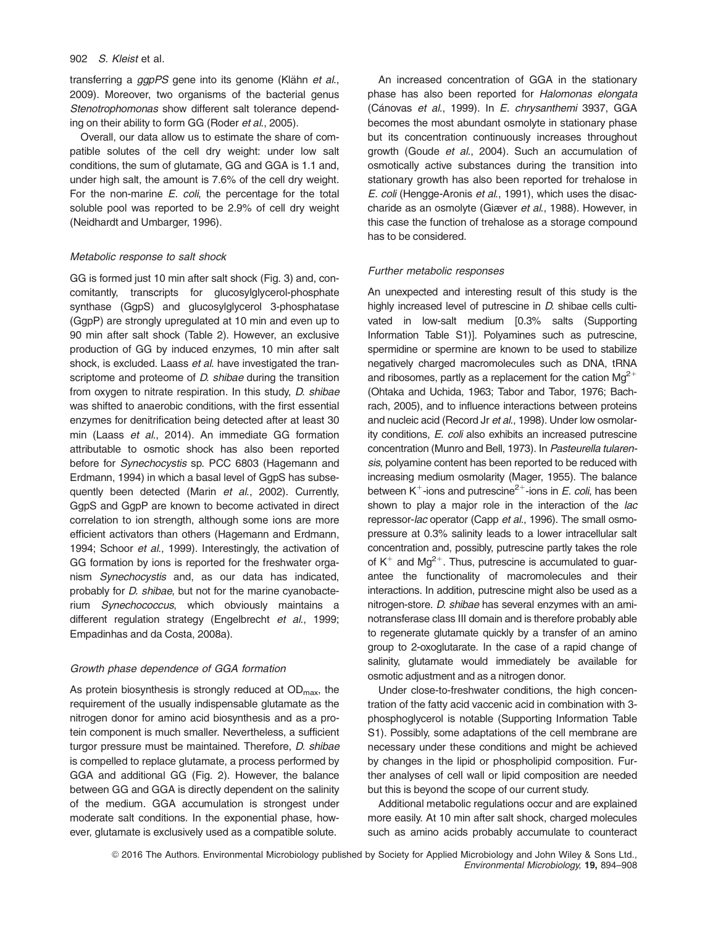transferring a ggpPS gene into its genome (Klähn et al., 2009). Moreover, two organisms of the bacterial genus Stenotrophomonas show different salt tolerance depending on their ability to form GG (Roder et al., 2005).

Overall, our data allow us to estimate the share of compatible solutes of the cell dry weight: under low salt conditions, the sum of glutamate, GG and GGA is 1.1 and, under high salt, the amount is 7.6% of the cell dry weight. For the non-marine E. coli, the percentage for the total soluble pool was reported to be 2.9% of cell dry weight (Neidhardt and Umbarger, 1996).

#### Metabolic response to salt shock

GG is formed just 10 min after salt shock (Fig. 3) and, concomitantly, transcripts for glucosylglycerol-phosphate synthase (GgpS) and glucosylglycerol 3-phosphatase (GgpP) are strongly upregulated at 10 min and even up to 90 min after salt shock (Table 2). However, an exclusive production of GG by induced enzymes, 10 min after salt shock, is excluded. Laass et al. have investigated the transcriptome and proteome of *D. shibae* during the transition from oxygen to nitrate respiration. In this study, *D. shibae* was shifted to anaerobic conditions, with the first essential enzymes for denitrification being detected after at least 30 min (Laass et al., 2014). An immediate GG formation attributable to osmotic shock has also been reported before for Synechocystis sp. PCC 6803 (Hagemann and Erdmann, 1994) in which a basal level of GgpS has subsequently been detected (Marin et al., 2002). Currently, GgpS and GgpP are known to become activated in direct correlation to ion strength, although some ions are more efficient activators than others (Hagemann and Erdmann, 1994; Schoor et al., 1999). Interestingly, the activation of GG formation by ions is reported for the freshwater organism Synechocystis and, as our data has indicated, probably for *D. shibae*, but not for the marine cyanobacterium Synechococcus, which obviously maintains a different regulation strategy (Engelbrecht et al., 1999; Empadinhas and da Costa, 2008a).

#### Growth phase dependence of GGA formation

As protein biosynthesis is strongly reduced at  $OD_{\text{max}}$ , the requirement of the usually indispensable glutamate as the nitrogen donor for amino acid biosynthesis and as a protein component is much smaller. Nevertheless, a sufficient turgor pressure must be maintained. Therefore, *D. shibae* is compelled to replace glutamate, a process performed by GGA and additional GG (Fig. 2). However, the balance between GG and GGA is directly dependent on the salinity of the medium. GGA accumulation is strongest under moderate salt conditions. In the exponential phase, however, glutamate is exclusively used as a compatible solute.

An increased concentration of GGA in the stationary phase has also been reported for Halomonas elongata (Cánovas et al., 1999). In E. chrysanthemi 3937, GGA becomes the most abundant osmolyte in stationary phase but its concentration continuously increases throughout growth (Goude et al., 2004). Such an accumulation of osmotically active substances during the transition into stationary growth has also been reported for trehalose in E. coli (Hengge-Aronis et al., 1991), which uses the disaccharide as an osmolyte (Giæver et al., 1988). However, in this case the function of trehalose as a storage compound has to be considered.

#### Further metabolic responses

An unexpected and interesting result of this study is the highly increased level of putrescine in D. shibae cells cultivated in low-salt medium [0.3% salts (Supporting Information Table S1)]. Polyamines such as putrescine, spermidine or spermine are known to be used to stabilize negatively charged macromolecules such as DNA, tRNA and ribosomes, partly as a replacement for the cation  $Mg^{2+}$ (Ohtaka and Uchida, 1963; Tabor and Tabor, 1976; Bachrach, 2005), and to influence interactions between proteins and nucleic acid (Record Jr et al., 1998). Under low osmolarity conditions, E. coli also exhibits an increased putrescine concentration (Munro and Bell, 1973). In Pasteurella tularensis, polyamine content has been reported to be reduced with increasing medium osmolarity (Mager, 1955). The balance between  $K^+$ -ions and putrescine<sup>2+</sup>-ions in E. coli, has been shown to play a major role in the interaction of the *lac* repressor-lac operator (Capp et al., 1996). The small osmopressure at 0.3% salinity leads to a lower intracellular salt concentration and, possibly, putrescine partly takes the role of  $K^+$  and Mg<sup>2+</sup>. Thus, putrescine is accumulated to guarantee the functionality of macromolecules and their interactions. In addition, putrescine might also be used as a nitrogen-store. D. shibae has several enzymes with an aminotransferase class III domain and is therefore probably able to regenerate glutamate quickly by a transfer of an amino group to 2-oxoglutarate. In the case of a rapid change of salinity, glutamate would immediately be available for osmotic adjustment and as a nitrogen donor.

Under close-to-freshwater conditions, the high concentration of the fatty acid vaccenic acid in combination with 3 phosphoglycerol is notable (Supporting Information Table S1). Possibly, some adaptations of the cell membrane are necessary under these conditions and might be achieved by changes in the lipid or phospholipid composition. Further analyses of cell wall or lipid composition are needed but this is beyond the scope of our current study.

Additional metabolic regulations occur and are explained more easily. At 10 min after salt shock, charged molecules such as amino acids probably accumulate to counteract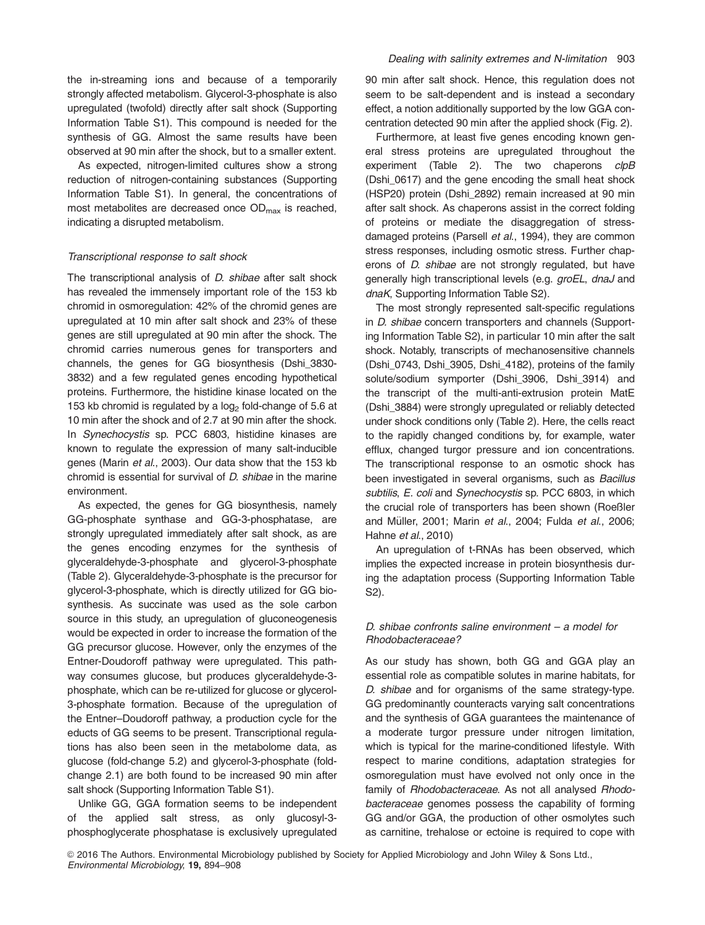the in-streaming ions and because of a temporarily strongly affected metabolism. Glycerol-3-phosphate is also upregulated (twofold) directly after salt shock (Supporting Information Table S1). This compound is needed for the synthesis of GG. Almost the same results have been observed at 90 min after the shock, but to a smaller extent.

As expected, nitrogen-limited cultures show a strong reduction of nitrogen-containing substances (Supporting Information Table S1). In general, the concentrations of most metabolites are decreased once OD<sub>max</sub> is reached, indicating a disrupted metabolism.

#### Transcriptional response to salt shock

The transcriptional analysis of *D. shibae* after salt shock has revealed the immensely important role of the 153 kb chromid in osmoregulation: 42% of the chromid genes are upregulated at 10 min after salt shock and 23% of these genes are still upregulated at 90 min after the shock. The chromid carries numerous genes for transporters and channels, the genes for GG biosynthesis (Dshi\_3830- 3832) and a few regulated genes encoding hypothetical proteins. Furthermore, the histidine kinase located on the 153 kb chromid is regulated by a  $log<sub>2</sub>$  fold-change of 5.6 at 10 min after the shock and of 2.7 at 90 min after the shock. In Synechocystis sp. PCC 6803, histidine kinases are known to regulate the expression of many salt-inducible genes (Marin et al., 2003). Our data show that the 153 kb chromid is essential for survival of D. shibae in the marine environment.

As expected, the genes for GG biosynthesis, namely GG-phosphate synthase and GG-3-phosphatase, are strongly upregulated immediately after salt shock, as are the genes encoding enzymes for the synthesis of glyceraldehyde-3-phosphate and glycerol-3-phosphate (Table 2). Glyceraldehyde-3-phosphate is the precursor for glycerol-3-phosphate, which is directly utilized for GG biosynthesis. As succinate was used as the sole carbon source in this study, an upregulation of gluconeogenesis would be expected in order to increase the formation of the GG precursor glucose. However, only the enzymes of the Entner-Doudoroff pathway were upregulated. This pathway consumes glucose, but produces glyceraldehyde-3 phosphate, which can be re-utilized for glucose or glycerol-3-phosphate formation. Because of the upregulation of the Entner–Doudoroff pathway, a production cycle for the educts of GG seems to be present. Transcriptional regulations has also been seen in the metabolome data, as glucose (fold-change 5.2) and glycerol-3-phosphate (foldchange 2.1) are both found to be increased 90 min after salt shock (Supporting Information Table S1).

Unlike GG, GGA formation seems to be independent of the applied salt stress, as only glucosyl-3 phosphoglycerate phosphatase is exclusively upregulated

90 min after salt shock. Hence, this regulation does not seem to be salt-dependent and is instead a secondary effect, a notion additionally supported by the low GGA concentration detected 90 min after the applied shock (Fig. 2).

Furthermore, at least five genes encoding known general stress proteins are upregulated throughout the experiment (Table 2). The two chaperons clpB (Dshi\_0617) and the gene encoding the small heat shock (HSP20) protein (Dshi\_2892) remain increased at 90 min after salt shock. As chaperons assist in the correct folding of proteins or mediate the disaggregation of stressdamaged proteins (Parsell et al., 1994), they are common stress responses, including osmotic stress. Further chaperons of D. shibae are not strongly regulated, but have generally high transcriptional levels (e.g. groEL, dnaJ and dnaK, Supporting Information Table S2).

The most strongly represented salt-specific regulations in D. shibae concern transporters and channels (Supporting Information Table S2), in particular 10 min after the salt shock. Notably, transcripts of mechanosensitive channels (Dshi\_0743, Dshi\_3905, Dshi\_4182), proteins of the family solute/sodium symporter (Dshi\_3906, Dshi\_3914) and the transcript of the multi-anti-extrusion protein MatE (Dshi\_3884) were strongly upregulated or reliably detected under shock conditions only (Table 2). Here, the cells react to the rapidly changed conditions by, for example, water efflux, changed turgor pressure and ion concentrations. The transcriptional response to an osmotic shock has been investigated in several organisms, such as Bacillus subtilis, E. coli and Synechocystis sp. PCC 6803, in which the crucial role of transporters has been shown (Roeßler and Müller, 2001; Marin et al., 2004; Fulda et al., 2006; Hahne et al., 2010)

An upregulation of t-RNAs has been observed, which implies the expected increase in protein biosynthesis during the adaptation process (Supporting Information Table S2).

### D. shibae confronts saline environment – a model for Rhodobacteraceae?

As our study has shown, both GG and GGA play an essential role as compatible solutes in marine habitats, for D. shibae and for organisms of the same strategy-type. GG predominantly counteracts varying salt concentrations and the synthesis of GGA guarantees the maintenance of a moderate turgor pressure under nitrogen limitation, which is typical for the marine-conditioned lifestyle. With respect to marine conditions, adaptation strategies for osmoregulation must have evolved not only once in the family of Rhodobacteraceae. As not all analysed Rhodobacteraceae genomes possess the capability of forming GG and/or GGA, the production of other osmolytes such as carnitine, trehalose or ectoine is required to cope with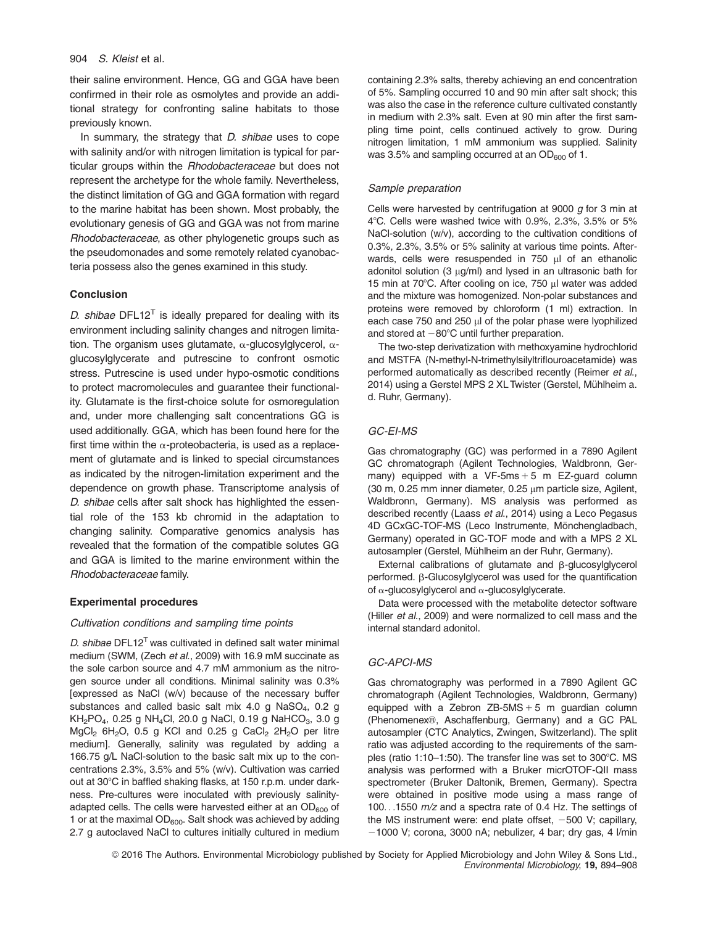their saline environment. Hence, GG and GGA have been confirmed in their role as osmolytes and provide an additional strategy for confronting saline habitats to those previously known.

In summary, the strategy that *D. shibae* uses to cope with salinity and/or with nitrogen limitation is typical for particular groups within the Rhodobacteraceae but does not represent the archetype for the whole family. Nevertheless, the distinct limitation of GG and GGA formation with regard to the marine habitat has been shown. Most probably, the evolutionary genesis of GG and GGA was not from marine Rhodobacteraceae, as other phylogenetic groups such as the pseudomonades and some remotely related cyanobacteria possess also the genes examined in this study.

#### Conclusion

D. shibae DFL12<sup>T</sup> is ideally prepared for dealing with its environment including salinity changes and nitrogen limitation. The organism uses glutamate,  $\alpha$ -glucosylglycerol,  $\alpha$ glucosylglycerate and putrescine to confront osmotic stress. Putrescine is used under hypo-osmotic conditions to protect macromolecules and guarantee their functionality. Glutamate is the first-choice solute for osmoregulation and, under more challenging salt concentrations GG is used additionally. GGA, which has been found here for the first time within the  $\alpha$ -proteobacteria, is used as a replacement of glutamate and is linked to special circumstances as indicated by the nitrogen-limitation experiment and the dependence on growth phase. Transcriptome analysis of D. shibae cells after salt shock has highlighted the essential role of the 153 kb chromid in the adaptation to changing salinity. Comparative genomics analysis has revealed that the formation of the compatible solutes GG and GGA is limited to the marine environment within the Rhodobacteraceae family.

#### Experimental procedures

#### Cultivation conditions and sampling time points

D. shibae  $DFL12<sup>T</sup>$  was cultivated in defined salt water minimal medium (SWM, (Zech et al., 2009) with 16.9 mM succinate as the sole carbon source and 4.7 mM ammonium as the nitrogen source under all conditions. Minimal salinity was 0.3% [expressed as NaCl (w/v) because of the necessary buffer substances and called basic salt mix  $4.0$  g NaSO<sub>4</sub>, 0.2 g  $KH<sub>2</sub>PO<sub>4</sub>$ , 0.25 g NH<sub>4</sub>Cl, 20.0 g NaCl, 0.19 g NaHCO<sub>3</sub>, 3.0 g  $MgCl<sub>2</sub> 6H<sub>2</sub>O$ , 0.5 g KCl and 0.25 g CaCl<sub>2</sub> 2H<sub>2</sub>O per litre medium]. Generally, salinity was regulated by adding a 166.75 g/L NaCl-solution to the basic salt mix up to the concentrations 2.3%, 3.5% and 5% (w/v). Cultivation was carried out at 30°C in baffled shaking flasks, at 150 r.p.m. under darkness. Pre-cultures were inoculated with previously salinityadapted cells. The cells were harvested either at an  $OD<sub>600</sub>$  of 1 or at the maximal  $OD<sub>600</sub>$ . Salt shock was achieved by adding 2.7 g autoclaved NaCl to cultures initially cultured in medium containing 2.3% salts, thereby achieving an end concentration of 5%. Sampling occurred 10 and 90 min after salt shock; this was also the case in the reference culture cultivated constantly in medium with 2.3% salt. Even at 90 min after the first sampling time point, cells continued actively to grow. During nitrogen limitation, 1 mM ammonium was supplied. Salinity was  $3.5\%$  and sampling occurred at an OD $_{600}$  of 1.

#### Sample preparation

Cells were harvested by centrifugation at 9000  $g$  for 3 min at 4 $^{\circ}$ C. Cells were washed twice with 0.9%, 2.3%, 3.5% or 5% NaCl-solution (w/v), according to the cultivation conditions of 0.3%, 2.3%, 3.5% or 5% salinity at various time points. Afterwards, cells were resuspended in 750 µl of an ethanolic adonitol solution (3 µg/ml) and lysed in an ultrasonic bath for 15 min at 70°C. After cooling on ice, 750 µl water was added and the mixture was homogenized. Non-polar substances and proteins were removed by chloroform (1 ml) extraction. In each case 750 and 250 µl of the polar phase were lyophilized and stored at  $-80^{\circ}$ C until further preparation.

The two-step derivatization with methoxyamine hydrochlorid and MSTFA (N-methyl-N-trimethylsilyltriflouroacetamide) was performed automatically as described recently (Reimer et al., 2014) using a Gerstel MPS 2 XL Twister (Gerstel, Mühlheim a. d. Ruhr, Germany).

#### GC-EI-MS

Gas chromatography (GC) was performed in a 7890 Agilent GC chromatograph (Agilent Technologies, Waldbronn, Germany) equipped with a  $VF-5ms + 5 m$  EZ-quard column  $(30 \text{ m}, 0.25 \text{ mm})$  inner diameter,  $0.25 \mu \text{m}$  particle size, Agilent, Waldbronn, Germany). MS analysis was performed as described recently (Laass et al., 2014) using a Leco Pegasus 4D GCxGC-TOF-MS (Leco Instrumente, Mönchengladbach, Germany) operated in GC-TOF mode and with a MPS 2 XL autosampler (Gerstel, Mühlheim an der Ruhr, Germany).

External calibrations of glutamate and  $\beta$ -glucosylglycerol performed.  $\beta$ -Glucosylglycerol was used for the quantification of  $\alpha$ -glucosylglycerol and  $\alpha$ -glucosylglycerate.

Data were processed with the metabolite detector software (Hiller et al., 2009) and were normalized to cell mass and the internal standard adonitol.

#### GC-APCI-MS

Gas chromatography was performed in a 7890 Agilent GC chromatograph (Agilent Technologies, Waldbronn, Germany) equipped with a Zebron ZB-5MS  $+$  5 m guardian column (Phenomenex®, Aschaffenburg, Germany) and a GC PAL autosampler (CTC Analytics, Zwingen, Switzerland). The split ratio was adjusted according to the requirements of the samples (ratio 1:10-1:50). The transfer line was set to  $300^{\circ}$ C. MS analysis was performed with a Bruker micrOTOF-QII mass spectrometer (Bruker Daltonik, Bremen, Germany). Spectra were obtained in positive mode using a mass range of 100...1550 m/z and a spectra rate of 0.4 Hz. The settings of the MS instrument were: end plate offset,  $-500$  V; capillary,  $-1000$  V; corona, 3000 nA; nebulizer, 4 bar; dry gas, 4 l/min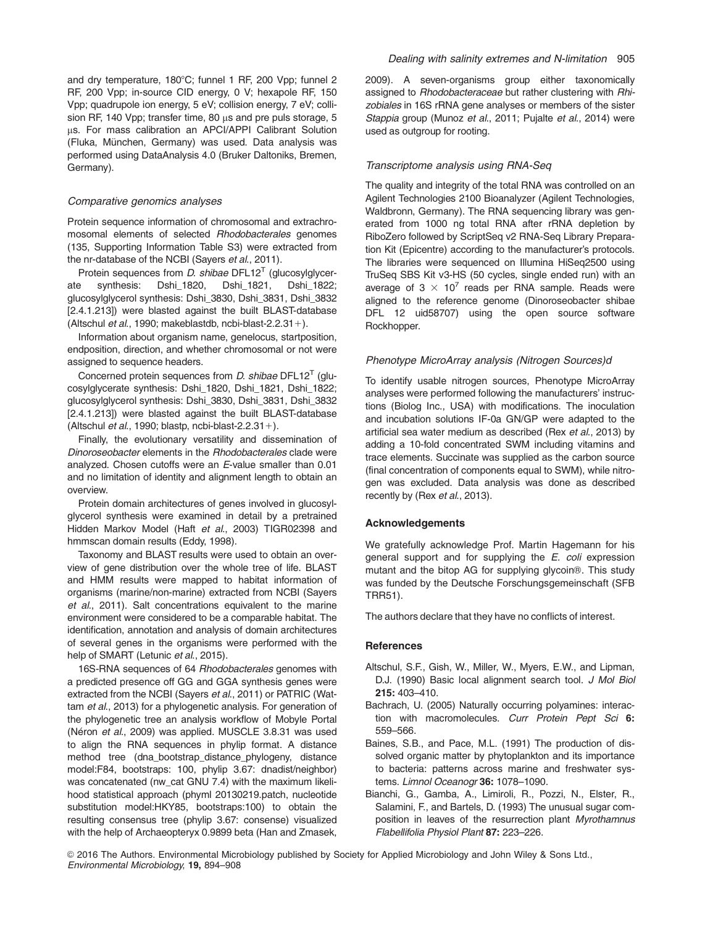and dry temperature, 180°C; funnel 1 RF, 200 Vpp; funnel 2 RF, 200 Vpp; in-source CID energy, 0 V; hexapole RF, 150 Vpp; quadrupole ion energy, 5 eV; collision energy, 7 eV; collision RF, 140 Vpp; transfer time, 80  $\mu$ s and pre puls storage, 5 us. For mass calibration an APCI/APPI Calibrant Solution (Fluka, München, Germany) was used. Data analysis was performed using DataAnalysis 4.0 (Bruker Daltoniks, Bremen, Germany).

#### Comparative genomics analyses

Protein sequence information of chromosomal and extrachromosomal elements of selected Rhodobacterales genomes (135, Supporting Information Table S3) were extracted from the nr-database of the NCBI (Sayers et al., 2011).

Protein sequences from  $D$ . shibae DFL12<sup>T</sup> (glucosylglycerate synthesis: Dshi\_1820, Dshi\_1821, Dshi\_1822; glucosylglycerol synthesis: Dshi\_3830, Dshi\_3831, Dshi\_3832 [2.4.1.213]) were blasted against the built BLAST-database (Altschul et al., 1990; makeblastdb, ncbi-blast-2.2.31+).

Information about organism name, genelocus, startposition, endposition, direction, and whether chromosomal or not were assigned to sequence headers.

Concerned protein sequences from *D. shibae*  $DFL12<sup>T</sup>$  (glucosylglycerate synthesis: Dshi\_1820, Dshi\_1821, Dshi\_1822; glucosylglycerol synthesis: Dshi\_3830, Dshi\_3831, Dshi\_3832 [2.4.1.213]) were blasted against the built BLAST-database (Altschul et al., 1990; blastp, ncbi-blast-2.2.31+).

Finally, the evolutionary versatility and dissemination of Dinoroseobacter elements in the Rhodobacterales clade were analyzed. Chosen cutoffs were an E-value smaller than 0.01 and no limitation of identity and alignment length to obtain an overview.

Protein domain architectures of genes involved in glucosylglycerol synthesis were examined in detail by a pretrained Hidden Markov Model (Haft et al., 2003) TIGR02398 and hmmscan domain results (Eddy, 1998).

Taxonomy and BLAST results were used to obtain an overview of gene distribution over the whole tree of life. BLAST and HMM results were mapped to habitat information of organisms (marine/non-marine) extracted from NCBI (Sayers et al., 2011). Salt concentrations equivalent to the marine environment were considered to be a comparable habitat. The identification, annotation and analysis of domain architectures of several genes in the organisms were performed with the help of SMART (Letunic et al., 2015).

16S-RNA sequences of 64 Rhodobacterales genomes with a predicted presence off GG and GGA synthesis genes were extracted from the NCBI (Sayers et al., 2011) or PATRIC (Wattam et al., 2013) for a phylogenetic analysis. For generation of the phylogenetic tree an analysis workflow of Mobyle Portal (Néron et al., 2009) was applied. MUSCLE 3.8.31 was used to align the RNA sequences in phylip format. A distance method tree (dna\_bootstrap\_distance\_phylogeny, distance model:F84, bootstraps: 100, phylip 3.67: dnadist/neighbor) was concatenated (nw\_cat GNU 7.4) with the maximum likelihood statistical approach (phyml 20130219.patch, nucleotide substitution model:HKY85, bootstraps:100) to obtain the resulting consensus tree (phylip 3.67: consense) visualized with the help of Archaeopteryx 0.9899 beta (Han and Zmasek,

2009). A seven-organisms group either taxonomically assigned to *Rhodobacteraceae* but rather clustering with *Rhi*zobiales in 16S rRNA gene analyses or members of the sister Stappia group (Munoz et al., 2011; Pujalte et al., 2014) were used as outgroup for rooting.

#### Transcriptome analysis using RNA-Seq

The quality and integrity of the total RNA was controlled on an Agilent Technologies 2100 Bioanalyzer (Agilent Technologies, Waldbronn, Germany). The RNA sequencing library was generated from 1000 ng total RNA after rRNA depletion by RiboZero followed by ScriptSeq v2 RNA-Seq Library Preparation Kit (Epicentre) according to the manufacturer's protocols. The libraries were sequenced on Illumina HiSeq2500 using TruSeq SBS Kit v3-HS (50 cycles, single ended run) with an average of  $3 \times 10^7$  reads per RNA sample. Reads were aligned to the reference genome (Dinoroseobacter shibae DFL 12 uid58707) using the open source software Rockhopper.

#### Phenotype MicroArray analysis (Nitrogen Sources)d

To identify usable nitrogen sources, Phenotype MicroArray analyses were performed following the manufacturers' instructions (Biolog Inc., USA) with modifications. The inoculation and incubation solutions IF-0a GN/GP were adapted to the artificial sea water medium as described (Rex et al., 2013) by adding a 10-fold concentrated SWM including vitamins and trace elements. Succinate was supplied as the carbon source (final concentration of components equal to SWM), while nitrogen was excluded. Data analysis was done as described recently by (Rex et al., 2013).

#### Acknowledgements

We gratefully acknowledge Prof. Martin Hagemann for his general support and for supplying the E. coli expression mutant and the bitop AG for supplying glycoin®. This study was funded by the Deutsche Forschungsgemeinschaft (SFB TRR51).

The authors declare that they have no conflicts of interest.

#### **References**

- Altschul, S.F., Gish, W., Miller, W., Myers, E.W., and Lipman, D.J. (1990) Basic local alignment search tool. J Mol Biol 215: 403–410.
- Bachrach, U. (2005) Naturally occurring polyamines: interaction with macromolecules. Curr Protein Pept Sci 6: 559–566.
- Baines, S.B., and Pace, M.L. (1991) The production of dissolved organic matter by phytoplankton and its importance to bacteria: patterns across marine and freshwater systems. Limnol Oceanogr 36: 1078-1090.
- Bianchi, G., Gamba, A., Limiroli, R., Pozzi, N., Elster, R., Salamini, F., and Bartels, D. (1993) The unusual sugar composition in leaves of the resurrection plant Myrothamnus Flabellifolia Physiol Plant 87: 223–226.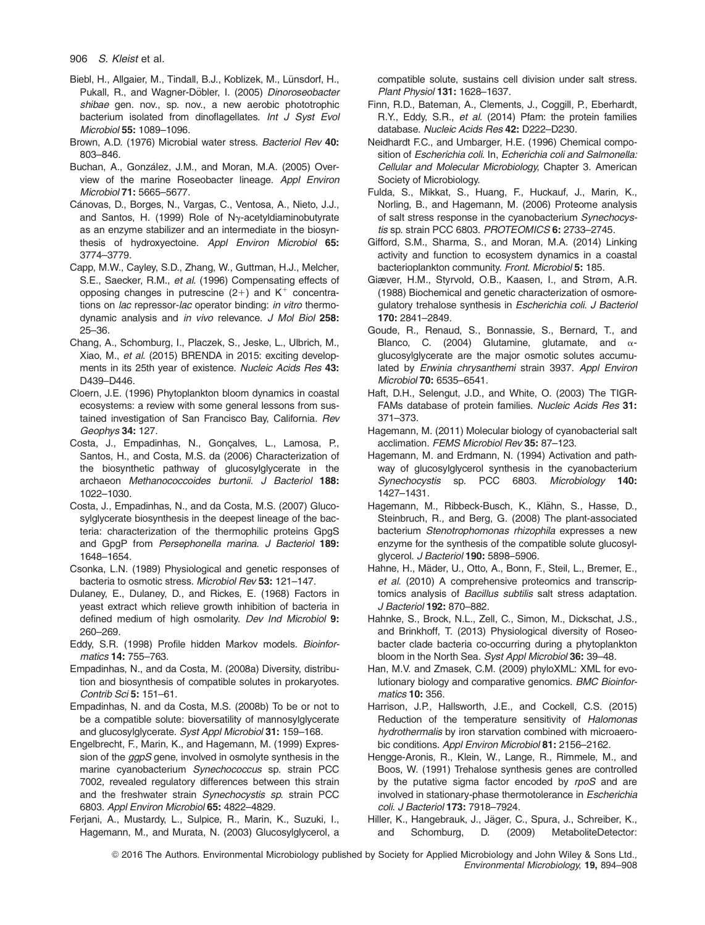- Biebl, H., Allgaier, M., Tindall, B.J., Koblizek, M., Lünsdorf, H., Pukall, R., and Wagner-Döbler, I. (2005) *Dinoroseobacter* shibae gen. nov., sp. nov., a new aerobic phototrophic bacterium isolated from dinoflagellates. Int J Syst Evol Microbiol 55: 1089–1096.
- Brown, A.D. (1976) Microbial water stress. Bacteriol Rev 40: 803–846.
- Buchan, A., González, J.M., and Moran, M.A. (2005) Overview of the marine Roseobacter lineage. Appl Environ Microbiol 71: 5665–5677.
- Cánovas, D., Borges, N., Vargas, C., Ventosa, A., Nieto, J.J., and Santos, H. (1999) Role of  $N<sub>Y</sub>$ -acetyldiaminobutyrate as an enzyme stabilizer and an intermediate in the biosynthesis of hydroxyectoine. Appl Environ Microbiol 65: 3774–3779.
- Capp, M.W., Cayley, S.D., Zhang, W., Guttman, H.J., Melcher, S.E., Saecker, R.M., et al. (1996) Compensating effects of opposing changes in putrescine  $(2+)$  and  $K^+$  concentrations on *lac* repressor-lac operator binding: in vitro thermodynamic analysis and in vivo relevance. J Mol Biol 258: 25–36.
- Chang, A., Schomburg, I., Placzek, S., Jeske, L., Ulbrich, M., Xiao, M., et al. (2015) BRENDA in 2015: exciting developments in its 25th year of existence. Nucleic Acids Res 43: D439–D446.
- Cloern, J.E. (1996) Phytoplankton bloom dynamics in coastal ecosystems: a review with some general lessons from sustained investigation of San Francisco Bay, California. Rev Geophys 34: 127.
- Costa, J., Empadinhas, N., Gonçalves, L., Lamosa, P., Santos, H., and Costa, M.S. da (2006) Characterization of the biosynthetic pathway of glucosylglycerate in the archaeon Methanococcoides burtonii. J Bacteriol 188: 1022–1030.
- Costa, J., Empadinhas, N., and da Costa, M.S. (2007) Glucosylglycerate biosynthesis in the deepest lineage of the bacteria: characterization of the thermophilic proteins GpgS and GpgP from Persephonella marina. J Bacteriol 189: 1648–1654.
- Csonka, L.N. (1989) Physiological and genetic responses of bacteria to osmotic stress. Microbiol Rev 53: 121-147.
- Dulaney, E., Dulaney, D., and Rickes, E. (1968) Factors in yeast extract which relieve growth inhibition of bacteria in defined medium of high osmolarity. Dev Ind Microbiol 9: 260–269.
- Eddy, S.R. (1998) Profile hidden Markov models. Bioinformatics 14: 755–763.
- Empadinhas, N., and da Costa, M. (2008a) Diversity, distribution and biosynthesis of compatible solutes in prokaryotes. Contrib Sci 5: 151–61.

Empadinhas, N. and da Costa, M.S. (2008b) To be or not to be a compatible solute: bioversatility of mannosylglycerate and glucosylglycerate. Syst Appl Microbiol 31: 159–168.

- Engelbrecht, F., Marin, K., and Hagemann, M. (1999) Expression of the ggpS gene, involved in osmolyte synthesis in the marine cyanobacterium Synechococcus sp. strain PCC 7002, revealed regulatory differences between this strain and the freshwater strain Synechocystis sp. strain PCC 6803. Appl Environ Microbiol 65: 4822–4829.
- Ferjani, A., Mustardy, L., Sulpice, R., Marin, K., Suzuki, I., Hagemann, M., and Murata, N. (2003) Glucosylglycerol, a

compatible solute, sustains cell division under salt stress. Plant Physiol 131: 1628–1637.

- Finn, R.D., Bateman, A., Clements, J., Coggill, P., Eberhardt, R.Y., Eddy, S.R., et al. (2014) Pfam: the protein families database. Nucleic Acids Res 42: D222-D230.
- Neidhardt F.C., and Umbarger, H.E. (1996) Chemical composition of Escherichia coli. In, Echerichia coli and Salmonella: Cellular and Molecular Microbiology, Chapter 3. American Society of Microbiology.
- Fulda, S., Mikkat, S., Huang, F., Huckauf, J., Marin, K., Norling, B., and Hagemann, M. (2006) Proteome analysis of salt stress response in the cyanobacterium Synechocystis sp. strain PCC 6803. PROTEOMICS 6: 2733–2745.
- Gifford, S.M., Sharma, S., and Moran, M.A. (2014) Linking activity and function to ecosystem dynamics in a coastal bacterioplankton community. Front. Microbiol 5: 185.
- Giæver, H.M., Styrvold, O.B., Kaasen, I., and Strøm, A.R. (1988) Biochemical and genetic characterization of osmoregulatory trehalose synthesis in Escherichia coli. J Bacteriol 170: 2841–2849.
- Goude, R., Renaud, S., Bonnassie, S., Bernard, T., and Blanco, C. (2004) Glutamine, glutamate, and  $\alpha$ glucosylglycerate are the major osmotic solutes accumulated by Erwinia chrysanthemi strain 3937. Appl Environ Microbiol 70: 6535–6541.
- Haft, D.H., Selengut, J.D., and White, O. (2003) The TIGR-FAMs database of protein families. Nucleic Acids Res 31: 371–373.
- Hagemann, M. (2011) Molecular biology of cyanobacterial salt acclimation. FEMS Microbiol Rev 35: 87–123.
- Hagemann, M. and Erdmann, N. (1994) Activation and pathway of glucosylglycerol synthesis in the cyanobacterium Synechocystis sp. PCC 6803. Microbiology 140: 1427–1431.
- Hagemann, M., Ribbeck-Busch, K., Klähn, S., Hasse, D., Steinbruch, R., and Berg, G. (2008) The plant-associated bacterium Stenotrophomonas rhizophila expresses a new enzyme for the synthesis of the compatible solute glucosylglycerol. J Bacteriol 190: 5898-5906.
- Hahne, H., Mäder, U., Otto, A., Bonn, F., Steil, L., Bremer, E., et al. (2010) A comprehensive proteomics and transcriptomics analysis of Bacillus subtilis salt stress adaptation. J Bacteriol 192: 870–882.
- Hahnke, S., Brock, N.L., Zell, C., Simon, M., Dickschat, J.S., and Brinkhoff, T. (2013) Physiological diversity of Roseobacter clade bacteria co-occurring during a phytoplankton bloom in the North Sea. Syst Appl Microbiol 36: 39–48.
- Han, M.V. and Zmasek, C.M. (2009) phyloXML: XML for evolutionary biology and comparative genomics. BMC Bioinformatics 10: 356.
- Harrison, J.P., Hallsworth, J.E., and Cockell, C.S. (2015) Reduction of the temperature sensitivity of Halomonas hydrothermalis by iron starvation combined with microaerobic conditions. Appl Environ Microbiol 81: 2156-2162.
- Hengge-Aronis, R., Klein, W., Lange, R., Rimmele, M., and Boos, W. (1991) Trehalose synthesis genes are controlled by the putative sigma factor encoded by rpoS and are involved in stationary-phase thermotolerance in Escherichia coli. J Bacteriol 173: 7918–7924.
- Hiller, K., Hangebrauk, J., Jäger, C., Spura, J., Schreiber, K., and Schomburg, D. (2009) MetaboliteDetector: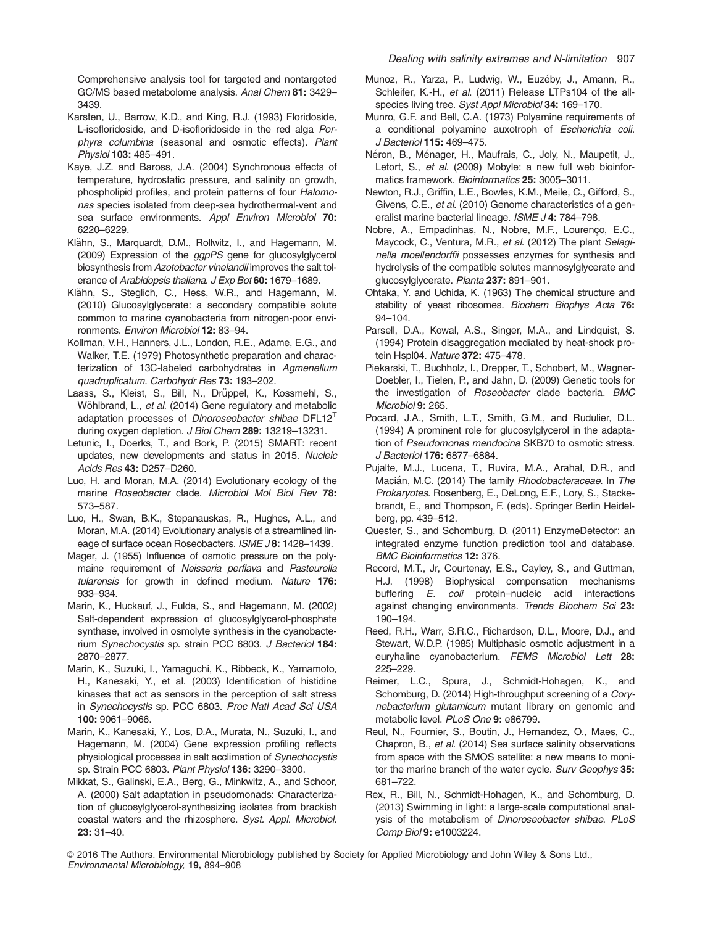Comprehensive analysis tool for targeted and nontargeted GC/MS based metabolome analysis. Anal Chem 81: 3429– 3439.

- Karsten, U., Barrow, K.D., and King, R.J. (1993) Floridoside, L-isofloridoside, and D-isofloridoside in the red alga Porphyra columbina (seasonal and osmotic effects). Plant Physiol 103: 485–491.
- Kaye, J.Z. and Baross, J.A. (2004) Synchronous effects of temperature, hydrostatic pressure, and salinity on growth, phospholipid profiles, and protein patterns of four Halomonas species isolated from deep-sea hydrothermal-vent and sea surface environments. Appl Environ Microbiol 70: 6220–6229.
- Klähn, S., Marquardt, D.M., Rollwitz, I., and Hagemann, M. (2009) Expression of the ggpPS gene for glucosylglycerol biosynthesis from Azotobacter vinelandii improves the salt tolerance of Arabidopsis thaliana. J Exp Bot 60: 1679-1689.
- Klähn, S., Steglich, C., Hess, W.R., and Hagemann, M. (2010) Glucosylglycerate: a secondary compatible solute common to marine cyanobacteria from nitrogen-poor environments. Environ Microbiol 12: 83–94.
- Kollman, V.H., Hanners, J.L., London, R.E., Adame, E.G., and Walker, T.E. (1979) Photosynthetic preparation and characterization of 13C-labeled carbohydrates in Agmenellum quadruplicatum. Carbohydr Res 73: 193–202.
- Laass, S., Kleist, S., Bill, N., Drüppel, K., Kossmehl, S., Wöhlbrand, L., et al. (2014) Gene regulatory and metabolic adaptation processes of Dinoroseobacter shibae DFL12<sup>T</sup> during oxygen depletion. J Biol Chem 289: 13219-13231.
- Letunic, I., Doerks, T., and Bork, P. (2015) SMART: recent updates, new developments and status in 2015. Nucleic Acids Res 43: D257–D260.
- Luo, H. and Moran, M.A. (2014) Evolutionary ecology of the marine Roseobacter clade. Microbiol Mol Biol Rev 78: 573–587.
- Luo, H., Swan, B.K., Stepanauskas, R., Hughes, A.L., and Moran, M.A. (2014) Evolutionary analysis of a streamlined lineage of surface ocean Roseobacters. ISME J 8: 1428-1439.
- Mager, J. (1955) Influence of osmotic pressure on the polymaine requirement of Neisseria perflava and Pasteurella tularensis for growth in defined medium. Nature 176: 933–934.
- Marin, K., Huckauf, J., Fulda, S., and Hagemann, M. (2002) Salt-dependent expression of glucosylglycerol-phosphate synthase, involved in osmolyte synthesis in the cyanobacterium Synechocystis sp. strain PCC 6803. J Bacteriol 184: 2870–2877.
- Marin, K., Suzuki, I., Yamaguchi, K., Ribbeck, K., Yamamoto, H., Kanesaki, Y., et al. (2003) Identification of histidine kinases that act as sensors in the perception of salt stress in Synechocystis sp. PCC 6803. Proc Natl Acad Sci USA 100: 9061–9066.
- Marin, K., Kanesaki, Y., Los, D.A., Murata, N., Suzuki, I., and Hagemann, M. (2004) Gene expression profiling reflects physiological processes in salt acclimation of Synechocystis sp. Strain PCC 6803. Plant Physiol 136: 3290–3300.
- Mikkat, S., Galinski, E.A., Berg, G., Minkwitz, A., and Schoor, A. (2000) Salt adaptation in pseudomonads: Characterization of glucosylglycerol-synthesizing isolates from brackish coastal waters and the rhizosphere. Syst. Appl. Microbiol. 23: 31–40.
- Munoz, R., Yarza, P., Ludwig, W., Euzéby, J., Amann, R., Schleifer, K.-H., et al. (2011) Release LTPs104 of the allspecies living tree. Syst Appl Microbiol 34: 169–170.
- Munro, G.F. and Bell, C.A. (1973) Polyamine requirements of a conditional polyamine auxotroph of Escherichia coli. J Bacteriol 115: 469–475.
- Néron, B., Ménager, H., Maufrais, C., Joly, N., Maupetit, J., Letort, S., et al. (2009) Mobyle: a new full web bioinformatics framework. Bioinformatics 25: 3005-3011.
- Newton, R.J., Griffin, L.E., Bowles, K.M., Meile, C., Gifford, S., Givens, C.E., et al. (2010) Genome characteristics of a generalist marine bacterial lineage. ISME J 4: 784-798.
- Nobre, A., Empadinhas, N., Nobre, M.F., Lourenço, E.C., Maycock, C., Ventura, M.R., et al. (2012) The plant Selaginella moellendorffii possesses enzymes for synthesis and hydrolysis of the compatible solutes mannosylglycerate and glucosylglycerate. Planta 237: 891–901.
- Ohtaka, Y. and Uchida, K. (1963) The chemical structure and stability of yeast ribosomes. Biochem Biophys Acta 76: 94–104.
- Parsell, D.A., Kowal, A.S., Singer, M.A., and Lindquist, S. (1994) Protein disaggregation mediated by heat-shock protein Hspl04. Nature 372: 475–478.
- Piekarski, T., Buchholz, I., Drepper, T., Schobert, M., Wagner-Doebler, I., Tielen, P., and Jahn, D. (2009) Genetic tools for the investigation of Roseobacter clade bacteria. BMC Microbiol **9:** 265.
- Pocard, J.A., Smith, L.T., Smith, G.M., and Rudulier, D.L. (1994) A prominent role for glucosylglycerol in the adaptation of Pseudomonas mendocina SKB70 to osmotic stress. J Bacteriol 176: 6877–6884.
- Pujalte, M.J., Lucena, T., Ruvira, M.A., Arahal, D.R., and Macián, M.C. (2014) The family Rhodobacteraceae. In The Prokaryotes. Rosenberg, E., DeLong, E.F., Lory, S., Stackebrandt, E., and Thompson, F. (eds). Springer Berlin Heidelberg, pp. 439–512.
- Quester, S., and Schomburg, D. (2011) EnzymeDetector: an integrated enzyme function prediction tool and database. BMC Bioinformatics 12: 376.
- Record, M.T., Jr, Courtenay, E.S., Cayley, S., and Guttman, H.J. (1998) Biophysical compensation mechanisms buffering E. coli protein–nucleic acid interactions against changing environments. Trends Biochem Sci 23: 190–194.
- Reed, R.H., Warr, S.R.C., Richardson, D.L., Moore, D.J., and Stewart, W.D.P. (1985) Multiphasic osmotic adjustment in a euryhaline cyanobacterium. FEMS Microbiol Lett 28: 225–229.
- Reimer, L.C., Spura, J., Schmidt-Hohagen, K., and Schomburg, D. (2014) High-throughput screening of a Corynebacterium glutamicum mutant library on genomic and metabolic level. PLoS One 9: e86799.
- Reul, N., Fournier, S., Boutin, J., Hernandez, O., Maes, C., Chapron, B., et al. (2014) Sea surface salinity observations from space with the SMOS satellite: a new means to monitor the marine branch of the water cycle. Surv Geophys 35: 681–722.
- Rex, R., Bill, N., Schmidt-Hohagen, K., and Schomburg, D. (2013) Swimming in light: a large-scale computational analysis of the metabolism of Dinoroseobacter shibae. PLoS Comp Biol 9: e1003224.